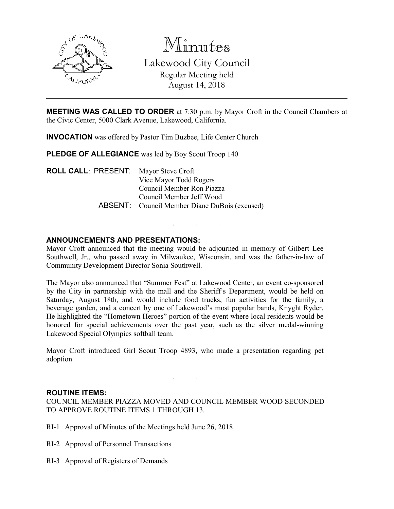

Minutes Lakewood City Council Regular Meeting held August 14, 2018

**MEETING WAS CALLED TO ORDER** at 7:30 p.m. by Mayor Croft in the Council Chambers at the Civic Center, 5000 Clark Avenue, Lakewood, California.

INVOCATION was offered by Pastor Tim Buzbee, Life Center Church

PLEDGE OF ALLEGIANCE was led by Boy Scout Troop 140

ROLL CALL: PRESENT: Mayor Steve Croft Vice Mayor Todd Rogers Council Member Ron Piazza Council Member Jeff Wood ABSENT: Council Member Diane DuBois (excused)

## ANNOUNCEMENTS AND PRESENTATIONS:

Mayor Croft announced that the meeting would be adjourned in memory of Gilbert Lee Southwell, Jr., who passed away in Milwaukee, Wisconsin, and was the father-in-law of Community Development Director Sonia Southwell.

. . .

The Mayor also announced that "Summer Fest" at Lakewood Center, an event co-sponsored by the City in partnership with the mall and the Sheriff's Department, would be held on Saturday, August 18th, and would include food trucks, fun activities for the family, a beverage garden, and a concert by one of Lakewood's most popular bands, Knyght Ryder. He highlighted the "Hometown Heroes" portion of the event where local residents would be honored for special achievements over the past year, such as the silver medal-winning Lakewood Special Olympics softball team.

Mayor Croft introduced Girl Scout Troop 4893, who made a presentation regarding pet adoption.

. . .

#### ROUTINE ITEMS:

COUNCIL MEMBER PIAZZA MOVED AND COUNCIL MEMBER WOOD SECONDED TO APPROVE ROUTINE ITEMS 1 THROUGH 13.

- RI-1 Approval of Minutes of the Meetings held June 26, 2018
- RI-2 Approval of Personnel Transactions
- RI-3 Approval of Registers of Demands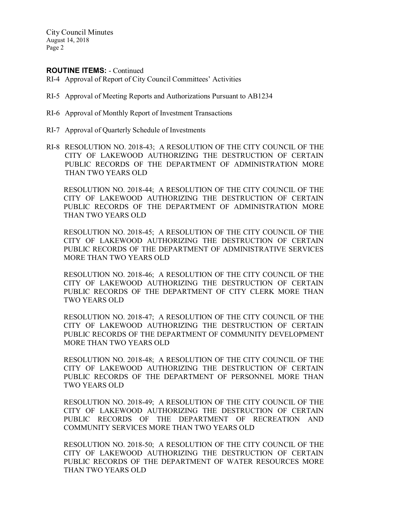#### ROUTINE ITEMS: - Continued

- RI-4 Approval of Report of City Council Committees' Activities
- RI-5 Approval of Meeting Reports and Authorizations Pursuant to AB1234
- RI-6 Approval of Monthly Report of Investment Transactions
- RI-7 Approval of Quarterly Schedule of Investments
- RI-8 RESOLUTION NO. 2018-43; A RESOLUTION OF THE CITY COUNCIL OF THE CITY OF LAKEWOOD AUTHORIZING THE DESTRUCTION OF CERTAIN PUBLIC RECORDS OF THE DEPARTMENT OF ADMINISTRATION MORE THAN TWO YEARS OLD

RESOLUTION NO. 2018-44; A RESOLUTION OF THE CITY COUNCIL OF THE CITY OF LAKEWOOD AUTHORIZING THE DESTRUCTION OF CERTAIN PUBLIC RECORDS OF THE DEPARTMENT OF ADMINISTRATION MORE THAN TWO YEARS OLD

RESOLUTION NO. 2018-45; A RESOLUTION OF THE CITY COUNCIL OF THE CITY OF LAKEWOOD AUTHORIZING THE DESTRUCTION OF CERTAIN PUBLIC RECORDS OF THE DEPARTMENT OF ADMINISTRATIVE SERVICES MORE THAN TWO YEARS OLD

RESOLUTION NO. 2018-46; A RESOLUTION OF THE CITY COUNCIL OF THE CITY OF LAKEWOOD AUTHORIZING THE DESTRUCTION OF CERTAIN PUBLIC RECORDS OF THE DEPARTMENT OF CITY CLERK MORE THAN TWO YEARS OLD

RESOLUTION NO. 2018-47; A RESOLUTION OF THE CITY COUNCIL OF THE CITY OF LAKEWOOD AUTHORIZING THE DESTRUCTION OF CERTAIN PUBLIC RECORDS OF THE DEPARTMENT OF COMMUNITY DEVELOPMENT MORE THAN TWO YEARS OLD

RESOLUTION NO. 2018-48; A RESOLUTION OF THE CITY COUNCIL OF THE CITY OF LAKEWOOD AUTHORIZING THE DESTRUCTION OF CERTAIN PUBLIC RECORDS OF THE DEPARTMENT OF PERSONNEL MORE THAN TWO YEARS OLD

RESOLUTION NO. 2018-49; A RESOLUTION OF THE CITY COUNCIL OF THE CITY OF LAKEWOOD AUTHORIZING THE DESTRUCTION OF CERTAIN PUBLIC RECORDS OF THE DEPARTMENT OF RECREATION AND COMMUNITY SERVICES MORE THAN TWO YEARS OLD

RESOLUTION NO. 2018-50; A RESOLUTION OF THE CITY COUNCIL OF THE CITY OF LAKEWOOD AUTHORIZING THE DESTRUCTION OF CERTAIN PUBLIC RECORDS OF THE DEPARTMENT OF WATER RESOURCES MORE THAN TWO YEARS OLD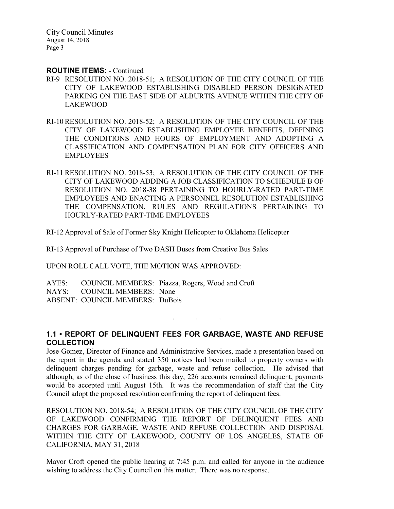#### ROUTINE ITEMS: - Continued

- RI-9 RESOLUTION NO. 2018-51; A RESOLUTION OF THE CITY COUNCIL OF THE CITY OF LAKEWOOD ESTABLISHING DISABLED PERSON DESIGNATED PARKING ON THE EAST SIDE OF ALBURTIS AVENUE WITHIN THE CITY OF LAKEWOOD
- RI-10 RESOLUTION NO. 2018-52; A RESOLUTION OF THE CITY COUNCIL OF THE CITY OF LAKEWOOD ESTABLISHING EMPLOYEE BENEFITS, DEFINING THE CONDITIONS AND HOURS OF EMPLOYMENT AND ADOPTING A CLASSIFICATION AND COMPENSATION PLAN FOR CITY OFFICERS AND EMPLOYEES
- RI-11 RESOLUTION NO. 2018-53; A RESOLUTION OF THE CITY COUNCIL OF THE CITY OF LAKEWOOD ADDING A JOB CLASSIFICATION TO SCHEDULE B OF RESOLUTION NO. 2018-38 PERTAINING TO HOURLY-RATED PART-TIME EMPLOYEES AND ENACTING A PERSONNEL RESOLUTION ESTABLISHING THE COMPENSATION, RULES AND REGULATIONS PERTAINING TO HOURLY-RATED PART-TIME EMPLOYEES

RI-12 Approval of Sale of Former Sky Knight Helicopter to Oklahoma Helicopter

RI-13 Approval of Purchase of Two DASH Buses from Creative Bus Sales

UPON ROLL CALL VOTE, THE MOTION WAS APPROVED:

AYES: COUNCIL MEMBERS: Piazza, Rogers, Wood and Croft NAYS: COUNCIL MEMBERS: None ABSENT: COUNCIL MEMBERS: DuBois

### 1.1 • REPORT OF DELINQUENT FEES FOR GARBAGE, WASTE AND REFUSE **COLLECTION**

. . .

Jose Gomez, Director of Finance and Administrative Services, made a presentation based on the report in the agenda and stated 350 notices had been mailed to property owners with delinquent charges pending for garbage, waste and refuse collection. He advised that although, as of the close of business this day, 226 accounts remained delinquent, payments would be accepted until August 15th. It was the recommendation of staff that the City Council adopt the proposed resolution confirming the report of delinquent fees.

RESOLUTION NO. 2018-54; A RESOLUTION OF THE CITY COUNCIL OF THE CITY OF LAKEWOOD CONFIRMING THE REPORT OF DELINQUENT FEES AND CHARGES FOR GARBAGE, WASTE AND REFUSE COLLECTION AND DISPOSAL WITHIN THE CITY OF LAKEWOOD, COUNTY OF LOS ANGELES, STATE OF CALIFORNIA, MAY 31, 2018

Mayor Croft opened the public hearing at 7:45 p.m. and called for anyone in the audience wishing to address the City Council on this matter. There was no response.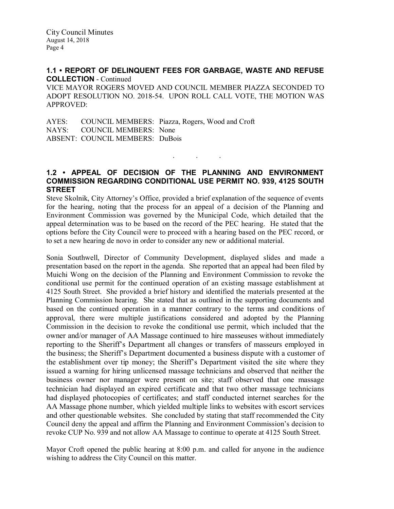### 1.1 • REPORT OF DELINQUENT FEES FOR GARBAGE, WASTE AND REFUSE COLLECTION - Continued

VICE MAYOR ROGERS MOVED AND COUNCIL MEMBER PIAZZA SECONDED TO ADOPT RESOLUTION NO. 2018-54. UPON ROLL CALL VOTE, THE MOTION WAS APPROVED:

AYES: COUNCIL MEMBERS: Piazza, Rogers, Wood and Croft NAYS: COUNCIL MEMBERS: None ABSENT: COUNCIL MEMBERS: DuBois

### 1.2 • APPEAL OF DECISION OF THE PLANNING AND ENVIRONMENT COMMISSION REGARDING CONDITIONAL USE PERMIT NO. 939, 4125 SOUTH **STREET**

. . .

Steve Skolnik, City Attorney's Office, provided a brief explanation of the sequence of events for the hearing, noting that the process for an appeal of a decision of the Planning and Environment Commission was governed by the Municipal Code, which detailed that the appeal determination was to be based on the record of the PEC hearing. He stated that the options before the City Council were to proceed with a hearing based on the PEC record, or to set a new hearing de novo in order to consider any new or additional material.

Sonia Southwell, Director of Community Development, displayed slides and made a presentation based on the report in the agenda. She reported that an appeal had been filed by Muichi Wong on the decision of the Planning and Environment Commission to revoke the conditional use permit for the continued operation of an existing massage establishment at 4125 South Street. She provided a brief history and identified the materials presented at the Planning Commission hearing. She stated that as outlined in the supporting documents and based on the continued operation in a manner contrary to the terms and conditions of approval, there were multiple justifications considered and adopted by the Planning Commission in the decision to revoke the conditional use permit, which included that the owner and/or manager of AA Massage continued to hire masseuses without immediately reporting to the Sheriff's Department all changes or transfers of masseurs employed in the business; the Sheriff's Department documented a business dispute with a customer of the establishment over tip money; the Sheriff's Department visited the site where they issued a warning for hiring unlicensed massage technicians and observed that neither the business owner nor manager were present on site; staff observed that one massage technician had displayed an expired certificate and that two other massage technicians had displayed photocopies of certificates; and staff conducted internet searches for the AA Massage phone number, which yielded multiple links to websites with escort services and other questionable websites. She concluded by stating that staff recommended the City Council deny the appeal and affirm the Planning and Environment Commission's decision to revoke CUP No. 939 and not allow AA Massage to continue to operate at 4125 South Street.

Mayor Croft opened the public hearing at 8:00 p.m. and called for anyone in the audience wishing to address the City Council on this matter.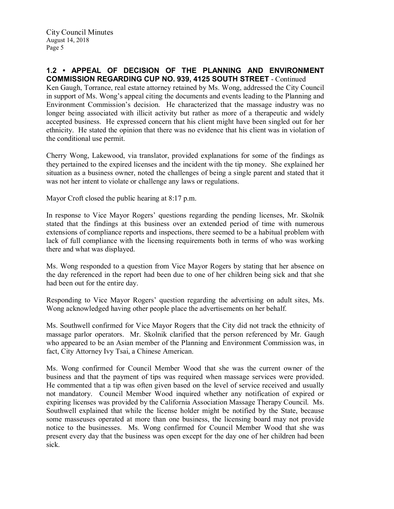### 1.2 • APPEAL OF DECISION OF THE PLANNING AND ENVIRONMENT COMMISSION REGARDING CUP NO. 939, 4125 SOUTH STREET - Continued

Ken Gaugh, Torrance, real estate attorney retained by Ms. Wong, addressed the City Council in support of Ms. Wong's appeal citing the documents and events leading to the Planning and Environment Commission's decision. He characterized that the massage industry was no longer being associated with illicit activity but rather as more of a therapeutic and widely accepted business. He expressed concern that his client might have been singled out for her ethnicity. He stated the opinion that there was no evidence that his client was in violation of the conditional use permit.

Cherry Wong, Lakewood, via translator, provided explanations for some of the findings as they pertained to the expired licenses and the incident with the tip money. She explained her situation as a business owner, noted the challenges of being a single parent and stated that it was not her intent to violate or challenge any laws or regulations.

Mayor Croft closed the public hearing at 8:17 p.m.

In response to Vice Mayor Rogers' questions regarding the pending licenses, Mr. Skolnik stated that the findings at this business over an extended period of time with numerous extensions of compliance reports and inspections, there seemed to be a habitual problem with lack of full compliance with the licensing requirements both in terms of who was working there and what was displayed.

Ms. Wong responded to a question from Vice Mayor Rogers by stating that her absence on the day referenced in the report had been due to one of her children being sick and that she had been out for the entire day.

Responding to Vice Mayor Rogers' question regarding the advertising on adult sites, Ms. Wong acknowledged having other people place the advertisements on her behalf.

Ms. Southwell confirmed for Vice Mayor Rogers that the City did not track the ethnicity of massage parlor operators. Mr. Skolnik clarified that the person referenced by Mr. Gaugh who appeared to be an Asian member of the Planning and Environment Commission was, in fact, City Attorney Ivy Tsai, a Chinese American.

Ms. Wong confirmed for Council Member Wood that she was the current owner of the business and that the payment of tips was required when massage services were provided. He commented that a tip was often given based on the level of service received and usually not mandatory. Council Member Wood inquired whether any notification of expired or expiring licenses was provided by the California Association Massage Therapy Council. Ms. Southwell explained that while the license holder might be notified by the State, because some masseuses operated at more than one business, the licensing board may not provide notice to the businesses. Ms. Wong confirmed for Council Member Wood that she was present every day that the business was open except for the day one of her children had been sick.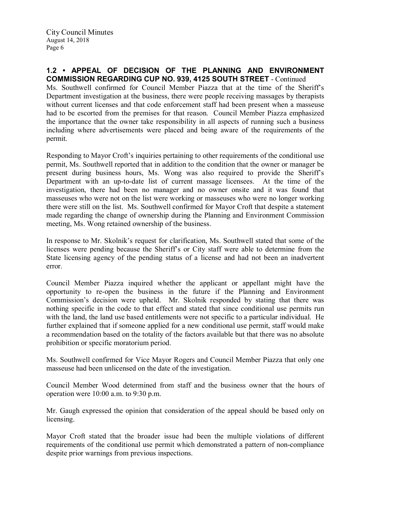### 1.2 • APPEAL OF DECISION OF THE PLANNING AND ENVIRONMENT COMMISSION REGARDING CUP NO. 939, 4125 SOUTH STREET - Continued

Ms. Southwell confirmed for Council Member Piazza that at the time of the Sheriff's Department investigation at the business, there were people receiving massages by therapists without current licenses and that code enforcement staff had been present when a masseuse had to be escorted from the premises for that reason. Council Member Piazza emphasized the importance that the owner take responsibility in all aspects of running such a business including where advertisements were placed and being aware of the requirements of the permit.

Responding to Mayor Croft's inquiries pertaining to other requirements of the conditional use permit, Ms. Southwell reported that in addition to the condition that the owner or manager be present during business hours, Ms. Wong was also required to provide the Sheriff's Department with an up-to-date list of current massage licensees. At the time of the investigation, there had been no manager and no owner onsite and it was found that masseuses who were not on the list were working or masseuses who were no longer working there were still on the list. Ms. Southwell confirmed for Mayor Croft that despite a statement made regarding the change of ownership during the Planning and Environment Commission meeting, Ms. Wong retained ownership of the business.

In response to Mr. Skolnik's request for clarification, Ms. Southwell stated that some of the licenses were pending because the Sheriff's or City staff were able to determine from the State licensing agency of the pending status of a license and had not been an inadvertent error.

Council Member Piazza inquired whether the applicant or appellant might have the opportunity to re-open the business in the future if the Planning and Environment Commission's decision were upheld. Mr. Skolnik responded by stating that there was nothing specific in the code to that effect and stated that since conditional use permits run with the land, the land use based entitlements were not specific to a particular individual. He further explained that if someone applied for a new conditional use permit, staff would make a recommendation based on the totality of the factors available but that there was no absolute prohibition or specific moratorium period.

Ms. Southwell confirmed for Vice Mayor Rogers and Council Member Piazza that only one masseuse had been unlicensed on the date of the investigation.

Council Member Wood determined from staff and the business owner that the hours of operation were 10:00 a.m. to 9:30 p.m.

Mr. Gaugh expressed the opinion that consideration of the appeal should be based only on licensing.

Mayor Croft stated that the broader issue had been the multiple violations of different requirements of the conditional use permit which demonstrated a pattern of non-compliance despite prior warnings from previous inspections.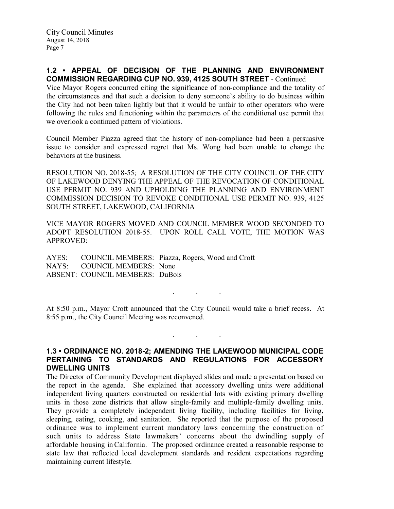### 1.2 • APPEAL OF DECISION OF THE PLANNING AND ENVIRONMENT COMMISSION REGARDING CUP NO. 939, 4125 SOUTH STREET - Continued

Vice Mayor Rogers concurred citing the significance of non-compliance and the totality of the circumstances and that such a decision to deny someone's ability to do business within the City had not been taken lightly but that it would be unfair to other operators who were following the rules and functioning within the parameters of the conditional use permit that we overlook a continued pattern of violations.

Council Member Piazza agreed that the history of non-compliance had been a persuasive issue to consider and expressed regret that Ms. Wong had been unable to change the behaviors at the business.

RESOLUTION NO. 2018-55; A RESOLUTION OF THE CITY COUNCIL OF THE CITY OF LAKEWOOD DENYING THE APPEAL OF THE REVOCATION OF CONDITIONAL USE PERMIT NO. 939 AND UPHOLDING THE PLANNING AND ENVIRONMENT COMMISSION DECISION TO REVOKE CONDITIONAL USE PERMIT NO. 939, 4125 SOUTH STREET, LAKEWOOD, CALIFORNIA

VICE MAYOR ROGERS MOVED AND COUNCIL MEMBER WOOD SECONDED TO ADOPT RESOLUTION 2018-55. UPON ROLL CALL VOTE, THE MOTION WAS APPROVED:

AYES: COUNCIL MEMBERS: Piazza, Rogers, Wood and Croft NAYS: COUNCIL MEMBERS: None ABSENT: COUNCIL MEMBERS: DuBois

At 8:50 p.m., Mayor Croft announced that the City Council would take a brief recess. At 8:55 p.m., the City Council Meeting was reconvened.

. . .

 $\mathbf{r}$  .  $\mathbf{r}$  ,  $\mathbf{r}$  ,  $\mathbf{r}$  ,  $\mathbf{r}$  ,  $\mathbf{r}$  ,  $\mathbf{r}$  ,  $\mathbf{r}$ 

### 1.3 • ORDINANCE NO. 2018-2; AMENDING THE LAKEWOOD MUNICIPAL CODE PERTAINING TO STANDARDS AND REGULATIONS FOR ACCESSORY DWELLING UNITS

The Director of Community Development displayed slides and made a presentation based on the report in the agenda. She explained that accessory dwelling units were additional independent living quarters constructed on residential lots with existing primary dwelling units in those zone districts that allow single-family and multiple-family dwelling units. They provide a completely independent living facility, including facilities for living, sleeping, eating, cooking, and sanitation. She reported that the purpose of the proposed ordinance was to implement current mandatory laws concerning the construction of such units to address State lawmakers' concerns about the dwindling supply of affordable housing in California. The proposed ordinance created a reasonable response to state law that reflected local development standards and resident expectations regarding maintaining current lifestyle.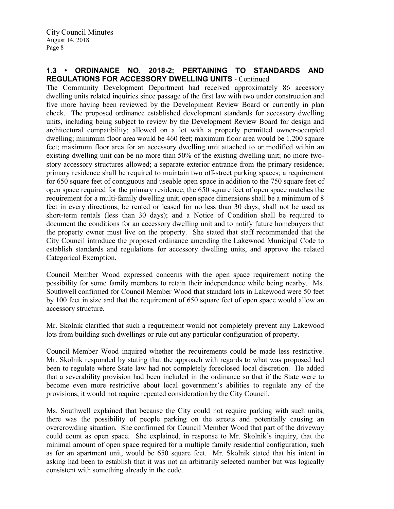### 1.3 • ORDINANCE NO. 2018-2; PERTAINING TO STANDARDS AND REGULATIONS FOR ACCESSORY DWELLING UNITS - Continued

The Community Development Department had received approximately 86 accessory dwelling units related inquiries since passage of the first law with two under construction and five more having been reviewed by the Development Review Board or currently in plan check. The proposed ordinance established development standards for accessory dwelling units, including being subject to review by the Development Review Board for design and architectural compatibility; allowed on a lot with a properly permitted owner-occupied dwelling; minimum floor area would be 460 feet; maximum floor area would be 1.200 square feet; maximum floor area for an accessory dwelling unit attached to or modified within an existing dwelling unit can be no more than 50% of the existing dwelling unit; no more twostory accessory structures allowed; a separate exterior entrance from the primary residence; primary residence shall be required to maintain two off-street parking spaces; a requirement for 650 square feet of contiguous and useable open space in addition to the 750 square feet of open space required for the primary residence; the 650 square feet of open space matches the requirement for a multi-family dwelling unit; open space dimensions shall be a minimum of 8 feet in every directions; be rented or leased for no less than 30 days; shall not be used as short-term rentals (less than 30 days); and a Notice of Condition shall be required to document the conditions for an accessory dwelling unit and to notify future homebuyers that the property owner must live on the property. She stated that staff recommended that the City Council introduce the proposed ordinance amending the Lakewood Municipal Code to establish standards and regulations for accessory dwelling units, and approve the related Categorical Exemption.

Council Member Wood expressed concerns with the open space requirement noting the possibility for some family members to retain their independence while being nearby. Ms. Southwell confirmed for Council Member Wood that standard lots in Lakewood were 50 feet by 100 feet in size and that the requirement of 650 square feet of open space would allow an accessory structure.

Mr. Skolnik clarified that such a requirement would not completely prevent any Lakewood lots from building such dwellings or rule out any particular configuration of property.

Council Member Wood inquired whether the requirements could be made less restrictive. Mr. Skolnik responded by stating that the approach with regards to what was proposed had been to regulate where State law had not completely foreclosed local discretion. He added that a severability provision had been included in the ordinance so that if the State were to become even more restrictive about local government's abilities to regulate any of the provisions, it would not require repeated consideration by the City Council.

Ms. Southwell explained that because the City could not require parking with such units, there was the possibility of people parking on the streets and potentially causing an overcrowding situation. She confirmed for Council Member Wood that part of the driveway could count as open space. She explained, in response to Mr. Skolnik's inquiry, that the minimal amount of open space required for a multiple family residential configuration, such as for an apartment unit, would be 650 square feet. Mr. Skolnik stated that his intent in asking had been to establish that it was not an arbitrarily selected number but was logically consistent with something already in the code.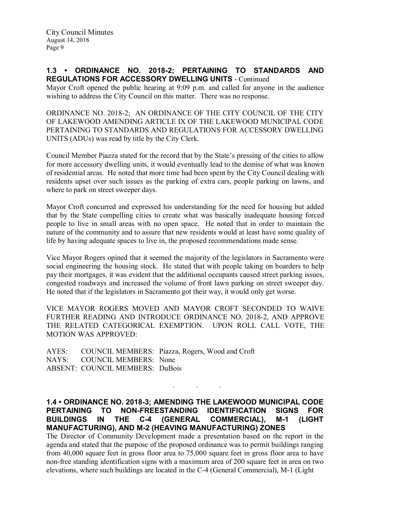### 1.3 • ORDINANCE NO. 2018-2; PERTAINING TO STANDARDS AND REGULATIONS FOR ACCESSORY DWELLING UNITS - Continued

Mayor Croft opened the public hearing at 9:09 p.m. and called for anyone in the audience wishing to address the City Council on this matter. There was no response.

ORDINANCE NO. 2018-2; AN ORDINANCE OF THE CITY COUNCIL OF THE CITY OF LAKEWOOD AMENDING ARTICLE IX OF THE LAKEWOOD MUNICIPAL CODE PERTAINING TO STANDARDS AND REGULATIONS FOR ACCESSORY DWELLING UNITS (ADUs) was read by title by the City Clerk.

Council Member Piazza stated for the record that by the State's pressing of the cities to allow for more accessory dwelling units, it would eventually lead to the demise of what was known of residential areas. He noted that more time had been spent by the City Council dealing with residents upset over such issues as the parking of extra cars, people parking on lawns, and where to park on street sweeper days.

Mayor Croft concurred and expressed his understanding for the need for housing but added that by the State compelling cities to create what was basically inadequate housing forced people to live in small areas with no open space. He noted that in order to maintain the nature of the community and to assure that new residents would at least have some quality of life by having adequate spaces to live in, the proposed recommendations made sense.

Vice Mayor Rogers opined that it seemed the majority of the legislators in Sacramento were social engineering the housing stock. He stated that with people taking on boarders to help pay their mortgages, it was evident that the additional occupants caused street parking issues, congested roadways and increased the volume of front lawn parking on street sweeper day. He noted that if the legislators in Sacramento got their way, it would only get worse.

VICE MAYOR ROGERS MOVED AND MAYOR CROFT SECONDED TO WAIVE FURTHER READING AND INTRODUCE ORDINANCE NO. 2018-2, AND APPROVE THE RELATED CATEGORICAL EXEMPTION. UPON ROLL CALL VOTE, THE MOTION WAS APPROVED:

AYES: COUNCIL MEMBERS: Piazza, Rogers, Wood and Croft NAYS: COUNCIL MEMBERS: None ABSENT: COUNCIL MEMBERS: DuBois

1.4 • ORDINANCE NO. 2018-3; AMENDING THE LAKEWOOD MUNICIPAL CODE PERTAINING TO NON-FREESTANDING IDENTIFICATION SIGNS FOR BUILDINGS IN THE C-4 (GENERAL COMMERCIAL), M-1 (LIGHT MANUFACTURING), AND M-2 (HEAVING MANUFACTURING) ZONES

. . .

The Director of Community Development made a presentation based on the report in the agenda and stated that the purpose of the proposed ordinance was to permit buildings ranging from 40,000 square feet in gross floor area to 75,000 square feet in gross floor area to have non-free standing identification signs with a maximum area of 200 square feet in area on two elevations, where such buildings are located in the C-4 (General Commercial), M-1 (Light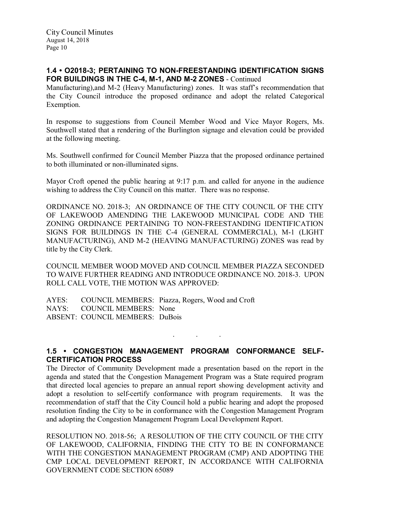### 1.4 • O2018-3; PERTAINING TO NON-FREESTANDING IDENTIFICATION SIGNS FOR BUILDINGS IN THE C-4, M-1, AND M-2 ZONES - Continued

Manufacturing),and M-2 (Heavy Manufacturing) zones. It was staff's recommendation that the City Council introduce the proposed ordinance and adopt the related Categorical Exemption.

In response to suggestions from Council Member Wood and Vice Mayor Rogers, Ms. Southwell stated that a rendering of the Burlington signage and elevation could be provided at the following meeting.

Ms. Southwell confirmed for Council Member Piazza that the proposed ordinance pertained to both illuminated or non-illuminated signs.

Mayor Croft opened the public hearing at 9:17 p.m. and called for anyone in the audience wishing to address the City Council on this matter. There was no response.

ORDINANCE NO. 2018-3; AN ORDINANCE OF THE CITY COUNCIL OF THE CITY OF LAKEWOOD AMENDING THE LAKEWOOD MUNICIPAL CODE AND THE ZONING ORDINANCE PERTAINING TO NON-FREESTANDING IDENTIFICATION SIGNS FOR BUILDINGS IN THE C-4 (GENERAL COMMERCIAL), M-1 (LIGHT MANUFACTURING), AND M-2 (HEAVING MANUFACTURING) ZONES was read by title by the City Clerk.

COUNCIL MEMBER WOOD MOVED AND COUNCIL MEMBER PIAZZA SECONDED TO WAIVE FURTHER READING AND INTRODUCE ORDINANCE NO. 2018-3. UPON ROLL CALL VOTE, THE MOTION WAS APPROVED:

AYES: COUNCIL MEMBERS: Piazza, Rogers, Wood and Croft NAYS: COUNCIL MEMBERS: None ABSENT: COUNCIL MEMBERS: DuBois

. . .

# 1.5 • CONGESTION MANAGEMENT PROGRAM CONFORMANCE SELF-CERTIFICATION PROCESS

The Director of Community Development made a presentation based on the report in the agenda and stated that the Congestion Management Program was a State required program that directed local agencies to prepare an annual report showing development activity and adopt a resolution to self-certify conformance with program requirements. It was the recommendation of staff that the City Council hold a public hearing and adopt the proposed resolution finding the City to be in conformance with the Congestion Management Program and adopting the Congestion Management Program Local Development Report.

RESOLUTION NO. 2018-56; A RESOLUTION OF THE CITY COUNCIL OF THE CITY OF LAKEWOOD, CALIFORNIA, FINDING THE CITY TO BE IN CONFORMANCE WITH THE CONGESTION MANAGEMENT PROGRAM (CMP) AND ADOPTING THE CMP LOCAL DEVELOPMENT REPORT, IN ACCORDANCE WITH CALIFORNIA GOVERNMENT CODE SECTION 65089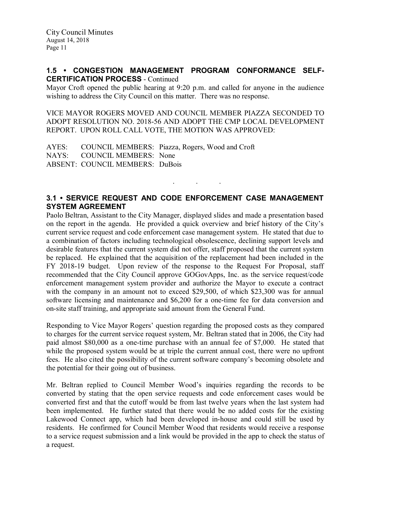#### 1.5 • CONGESTION MANAGEMENT PROGRAM CONFORMANCE SELF-CERTIFICATION PROCESS - Continued

Mayor Croft opened the public hearing at 9:20 p.m. and called for anyone in the audience wishing to address the City Council on this matter. There was no response.

VICE MAYOR ROGERS MOVED AND COUNCIL MEMBER PIAZZA SECONDED TO ADOPT RESOLUTION NO. 2018-56 AND ADOPT THE CMP LOCAL DEVELOPMENT REPORT. UPON ROLL CALL VOTE, THE MOTION WAS APPROVED:

AYES: COUNCIL MEMBERS: Piazza, Rogers, Wood and Croft<br>NAYS: COUNCIL MEMBERS: None COUNCIL MEMBERS: None ABSENT: COUNCIL MEMBERS: DuBois

### 3.1 • SERVICE REQUEST AND CODE ENFORCEMENT CASE MANAGEMENT SYSTEM AGREEMENT

. . .

Paolo Beltran, Assistant to the City Manager, displayed slides and made a presentation based on the report in the agenda. He provided a quick overview and brief history of the City's current service request and code enforcement case management system. He stated that due to a combination of factors including technological obsolescence, declining support levels and desirable features that the current system did not offer, staff proposed that the current system be replaced. He explained that the acquisition of the replacement had been included in the FY 2018-19 budget. Upon review of the response to the Request For Proposal, staff recommended that the City Council approve GOGovApps, Inc. as the service request/code enforcement management system provider and authorize the Mayor to execute a contract with the company in an amount not to exceed \$29,500, of which \$23,300 was for annual software licensing and maintenance and \$6,200 for a one-time fee for data conversion and on-site staff training, and appropriate said amount from the General Fund.

Responding to Vice Mayor Rogers' question regarding the proposed costs as they compared to charges for the current service request system, Mr. Beltran stated that in 2006, the City had paid almost \$80,000 as a one-time purchase with an annual fee of \$7,000. He stated that while the proposed system would be at triple the current annual cost, there were no upfront fees. He also cited the possibility of the current software company's becoming obsolete and the potential for their going out of business.

Mr. Beltran replied to Council Member Wood's inquiries regarding the records to be converted by stating that the open service requests and code enforcement cases would be converted first and that the cutoff would be from last twelve years when the last system had been implemented. He further stated that there would be no added costs for the existing Lakewood Connect app, which had been developed in-house and could still be used by residents. He confirmed for Council Member Wood that residents would receive a response to a service request submission and a link would be provided in the app to check the status of a request.